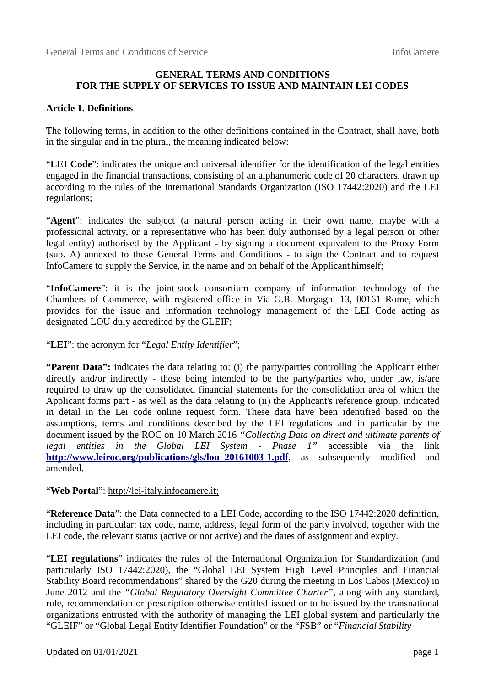# **GENERAL TERMS AND CONDITIONS FOR THE SUPPLY OF SERVICES TO ISSUE AND MAINTAIN LEI CODES**

### **Article 1. Definitions**

The following terms, in addition to the other definitions contained in the Contract, shall have, both in the singular and in the plural, the meaning indicated below:

"**LEI Code**": indicates the unique and universal identifier for the identification of the legal entities engaged in the financial transactions, consisting of an alphanumeric code of 20 characters, drawn up according to the rules of the International Standards Organization (ISO 17442:2020) and the LEI regulations;

"**Agent**": indicates the subject (a natural person acting in their own name, maybe with a professional activity, or a representative who has been duly authorised by a legal person or other legal entity) authorised by the Applicant - by signing a document equivalent to the Proxy Form (sub. A) annexed to these General Terms and Conditions - to sign the Contract and to request InfoCamere to supply the Service, in the name and on behalf of the Applicant himself;

"**InfoCamere**": it is the joint-stock consortium company of information technology of the Chambers of Commerce, with registered office in Via G.B. Morgagni 13, 00161 Rome, which provides for the issue and information technology management of the LEI Code acting as designated LOU duly accredited by the GLEIF;

### "**LEI**": the acronym for "*Legal Entity Identifier*";

**"Parent Data":** indicates the data relating to: (i) the party/parties controlling the Applicant either directly and/or indirectly - these being intended to be the party/parties who, under law, is/are required to draw up the consolidated financial statements for the consolidation area of which the Applicant forms part - as well as the data relating to (ii) the Applicant's reference group, indicated in detail in the Lei code online request form. These data have been identified based on the assumptions, terms and conditions described by the LEI regulations and in particular by the document issued by the ROC on 10 March 2016 *"Collecting Data on direct and ultimate parents of legal entities in the Global LEI System - Phase 1"* accessible via the link **http://www.leiroc.org/publications/gls/lou\_20161003-1.pdf**, as subsequently modified and amended.

### "Web Portal": http://lei-italy.infocamere.it;

"**Reference Data**": the Data connected to a LEI Code, according to the ISO 17442:2020 definition, including in particular: tax code, name, address, legal form of the party involved, together with the LEI code, the relevant status (active or not active) and the dates of assignment and expiry.

"**LEI regulations**" indicates the rules of the International Organization for Standardization (and particularly ISO 17442:2020), the "Global LEI System High Level Principles and Financial Stability Board recommendations" shared by the G20 during the meeting in Los Cabos (Mexico) in June 2012 and the *"Global Regulatory Oversight Committee Charter"*, along with any standard, rule, recommendation or prescription otherwise entitled issued or to be issued by the transnational organizations entrusted with the authority of managing the LEI global system and particularly the "GLEIF" or "Global Legal Entity Identifier Foundation" or the "FSB" or "*Financial Stability*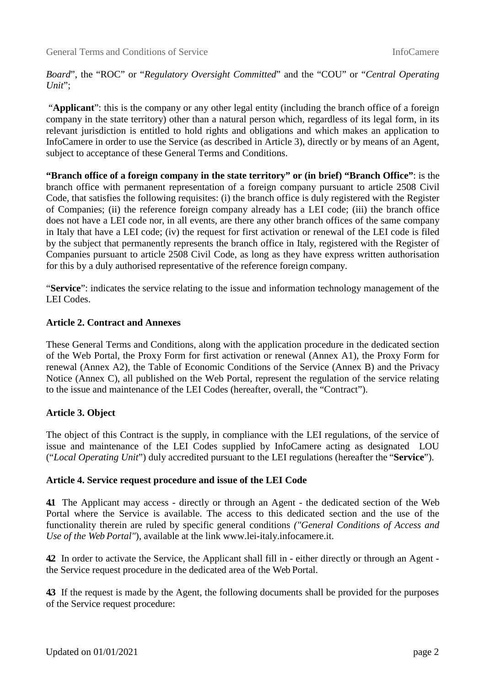*Board*", the "ROC" or "*Regulatory Oversight Committed*" and the "COU" or "*Central Operating Unit*";

"**Applicant**": this is the company or any other legal entity (including the branch office of a foreign company in the state territory) other than a natural person which, regardless of its legal form, in its relevant jurisdiction is entitled to hold rights and obligations and which makes an application to InfoCamere in order to use the Service (as described in Article 3), directly or by means of an Agent, subject to acceptance of these General Terms and Conditions.

**"Branch office of a foreign company in the state territory" or (in brief) "Branch Office"**: is the branch office with permanent representation of a foreign company pursuant to article 2508 Civil Code, that satisfies the following requisites: (i) the branch office is duly registered with the Register of Companies; (ii) the reference foreign company already has a LEI code; (iii) the branch office does not have a LEI code nor, in all events, are there any other branch offices of the same company in Italy that have a LEI code; (iv) the request for first activation or renewal of the LEI code is filed by the subject that permanently represents the branch office in Italy, registered with the Register of Companies pursuant to article 2508 Civil Code, as long as they have express written authorisation for this by a duly authorised representative of the reference foreign company.

"**Service**": indicates the service relating to the issue and information technology management of the LEI Codes.

## **Article 2. Contract and Annexes**

These General Terms and Conditions, along with the application procedure in the dedicated section of the Web Portal, the Proxy Form for first activation or renewal (Annex A1), the Proxy Form for renewal (Annex A2), the Table of Economic Conditions of the Service (Annex B) and the Privacy Notice (Annex C), all published on the Web Portal, represent the regulation of the service relating to the issue and maintenance of the LEI Codes (hereafter, overall, the "Contract").

### **Article 3. Object**

The object of this Contract is the supply, in compliance with the LEI regulations, of the service of issue and maintenance of the LEI Codes supplied by InfoCamere acting as designated LOU ("*Local Operating Unit*") duly accredited pursuant to the LEI regulations (hereafter the "**Service**").

### **Article 4. Service request procedure and issue of the LEI Code**

**4.1** The Applicant may access - directly or through an Agent - the dedicated section of the Web Portal where the Service is available. The access to this dedicated section and the use of the functionality therein are ruled by specific general conditions *("General Conditions of Access and Use of the Web Portal"*), available at the link www.lei-italy.infocamere.it.

**4.2** In order to activate the Service, the Applicant shall fill in - either directly or through an Agent the Service request procedure in the dedicated area of the Web Portal.

**4.3** If the request is made by the Agent, the following documents shall be provided for the purposes of the Service request procedure: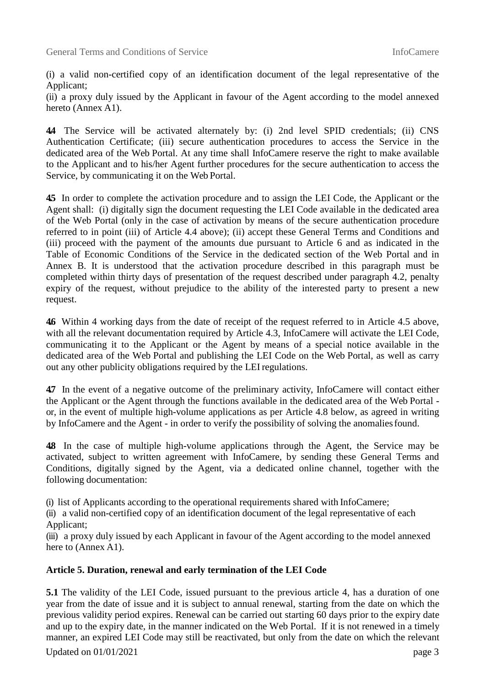(i) a valid non-certified copy of an identification document of the legal representative of the Applicant;

(ii) a proxy duly issued by the Applicant in favour of the Agent according to the model annexed hereto (Annex A1).

**4.4** The Service will be activated alternately by: (i) 2nd level SPID credentials; (ii) CNS Authentication Certificate; (iii) secure authentication procedures to access the Service in the dedicated area of the Web Portal. At any time shall InfoCamere reserve the right to make available to the Applicant and to his/her Agent further procedures for the secure authentication to access the Service, by communicating it on the Web Portal.

**4.5** In order to complete the activation procedure and to assign the LEI Code, the Applicant or the Agent shall: (i) digitally sign the document requesting the LEI Code available in the dedicated area of the Web Portal (only in the case of activation by means of the secure authentication procedure referred to in point (iii) of Article 4.4 above); (ii) accept these General Terms and Conditions and (iii) proceed with the payment of the amounts due pursuant to Article 6 and as indicated in the Table of Economic Conditions of the Service in the dedicated section of the Web Portal and in Annex B. It is understood that the activation procedure described in this paragraph must be completed within thirty days of presentation of the request described under paragraph 4.2, penalty expiry of the request, without prejudice to the ability of the interested party to present a new request.

**4.6** Within 4 working days from the date of receipt of the request referred to in Article 4.5 above, with all the relevant documentation required by Article 4.3, InfoCamere will activate the LEI Code, communicating it to the Applicant or the Agent by means of a special notice available in the dedicated area of the Web Portal and publishing the LEI Code on the Web Portal, as well as carry out any other publicity obligations required by the LEI regulations.

**4.7** In the event of a negative outcome of the preliminary activity, InfoCamere will contact either the Applicant or the Agent through the functions available in the dedicated area of the Web Portal or, in the event of multiple high-volume applications as per Article 4.8 below, as agreed in writing by InfoCamere and the Agent - in order to verify the possibility of solving the anomalies found.

**4.8** In the case of multiple high-volume applications through the Agent, the Service may be activated, subject to written agreement with InfoCamere, by sending these General Terms and Conditions, digitally signed by the Agent, via a dedicated online channel, together with the following documentation:

(i) list of Applicants according to the operational requirements shared with InfoCamere;

(ii) a valid non-certified copy of an identification document of the legal representative of each Applicant;

(iii) a proxy duly issued by each Applicant in favour of the Agent according to the model annexed here to (Annex A1).

# **Article 5. Duration, renewal and early termination of the LEI Code**

**5.1** The validity of the LEI Code, issued pursuant to the previous article 4, has a duration of one year from the date of issue and it is subject to annual renewal, starting from the date on which the previous validity period expires. Renewal can be carried out starting 60 days prior to the expiry date and up to the expiry date, in the manner indicated on the Web Portal. If it is not renewed in a timely manner, an expired LEI Code may still be reactivated, but only from the date on which the relevant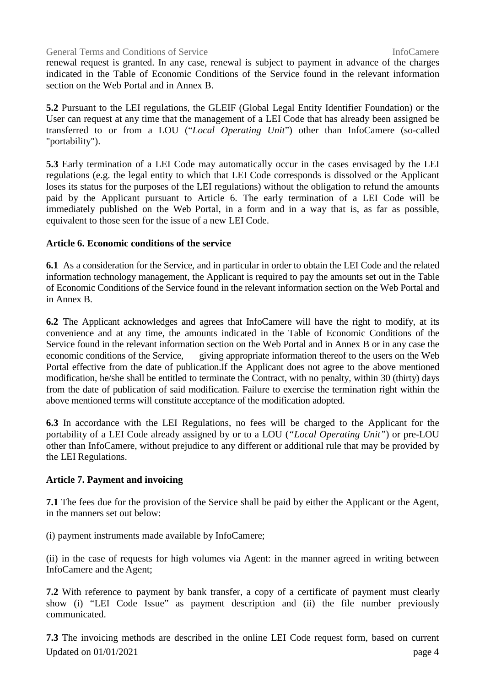renewal request is granted. In any case, renewal is subject to payment in advance of the charges indicated in the Table of Economic Conditions of the Service found in the relevant information section on the Web Portal and in Annex B.

**5.2** Pursuant to the LEI regulations, the GLEIF (Global Legal Entity Identifier Foundation) or the User can request at any time that the management of a LEI Code that has already been assigned be transferred to or from a LOU ("*Local Operating Unit*") other than InfoCamere (so-called "portability").

**5.3** Early termination of a LEI Code may automatically occur in the cases envisaged by the LEI regulations (e.g. the legal entity to which that LEI Code corresponds is dissolved or the Applicant loses its status for the purposes of the LEI regulations) without the obligation to refund the amounts paid by the Applicant pursuant to Article 6. The early termination of a LEI Code will be immediately published on the Web Portal, in a form and in a way that is, as far as possible, equivalent to those seen for the issue of a new LEI Code.

## **Article 6. Economic conditions of the service**

**6.1** As a consideration for the Service, and in particular in order to obtain the LEI Code and the related information technology management, the Applicant is required to pay the amounts set out in the Table of Economic Conditions of the Service found in the relevant information section on the Web Portal and in Annex B.

**6.2** The Applicant acknowledges and agrees that InfoCamere will have the right to modify, at its convenience and at any time, the amounts indicated in the Table of Economic Conditions of the Service found in the relevant information section on the Web Portal and in Annex B or in any case the economic conditions of the Service, giving appropriate information thereof to the users on the Web Portal effective from the date of publication.If the Applicant does not agree to the above mentioned modification, he/she shall be entitled to terminate the Contract, with no penalty, within 30 (thirty) days from the date of publication of said modification. Failure to exercise the termination right within the above mentioned terms will constitute acceptance of the modification adopted.

**6.3** In accordance with the LEI Regulations, no fees will be charged to the Applicant for the portability of a LEI Code already assigned by or to a LOU (*"Local Operating Unit"*) or pre-LOU other than InfoCamere, without prejudice to any different or additional rule that may be provided by the LEI Regulations.

# **Article 7. Payment and invoicing**

**7.1** The fees due for the provision of the Service shall be paid by either the Applicant or the Agent, in the manners set out below:

(i) payment instruments made available by InfoCamere;

(ii) in the case of requests for high volumes via Agent: in the manner agreed in writing between InfoCamere and the Agent;

**7.2** With reference to payment by bank transfer, a copy of a certificate of payment must clearly show (i) "LEI Code Issue" as payment description and (ii) the file number previously communicated.

Updated on  $01/01/2021$  page 4 **7.3** The invoicing methods are described in the online LEI Code request form, based on current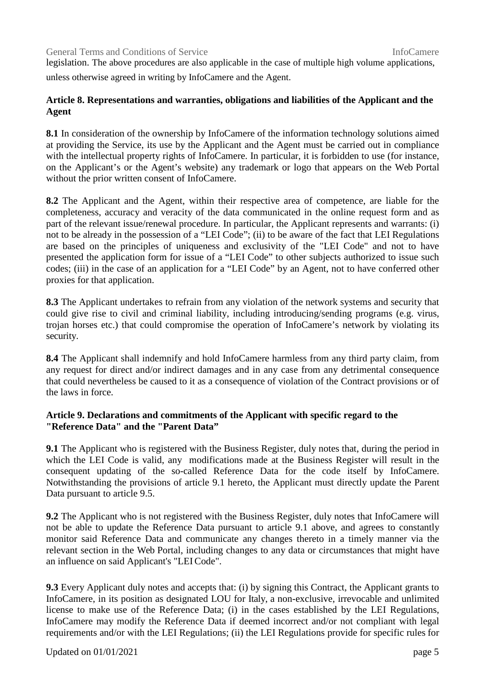legislation. The above procedures are also applicable in the case of multiple high volume applications, unless otherwise agreed in writing by InfoCamere and the Agent.

# **Article 8. Representations and warranties, obligations and liabilities of the Applicant and the Agent**

**8.1** In consideration of the ownership by InfoCamere of the information technology solutions aimed at providing the Service, its use by the Applicant and the Agent must be carried out in compliance with the intellectual property rights of InfoCamere. In particular, it is forbidden to use (for instance, on the Applicant's or the Agent's website) any trademark or logo that appears on the Web Portal without the prior written consent of InfoCamere.

**8.2** The Applicant and the Agent, within their respective area of competence, are liable for the completeness, accuracy and veracity of the data communicated in the online request form and as part of the relevant issue/renewal procedure. In particular, the Applicant represents and warrants: (i) not to be already in the possession of a "LEI Code"; (ii) to be aware of the fact that LEI Regulations are based on the principles of uniqueness and exclusivity of the "LEI Code" and not to have presented the application form for issue of a "LEI Code" to other subjects authorized to issue such codes; (iii) in the case of an application for a "LEI Code" by an Agent, not to have conferred other proxies for that application.

**8.3** The Applicant undertakes to refrain from any violation of the network systems and security that could give rise to civil and criminal liability, including introducing/sending programs (e.g. virus, trojan horses etc.) that could compromise the operation of InfoCamere's network by violating its security.

**8.4** The Applicant shall indemnify and hold InfoCamere harmless from any third party claim, from any request for direct and/or indirect damages and in any case from any detrimental consequence that could nevertheless be caused to it as a consequence of violation of the Contract provisions or of the laws in force.

# **Article 9. Declarations and commitments of the Applicant with specific regard to the "Reference Data" and the "Parent Data"**

**9.1** The Applicant who is registered with the Business Register, duly notes that, during the period in which the LEI Code is valid, any modifications made at the Business Register will result in the consequent updating of the so-called Reference Data for the code itself by InfoCamere. Notwithstanding the provisions of article 9.1 hereto, the Applicant must directly update the Parent Data pursuant to article 9.5.

**9.2** The Applicant who is not registered with the Business Register, duly notes that InfoCamere will not be able to update the Reference Data pursuant to article 9.1 above, and agrees to constantly monitor said Reference Data and communicate any changes thereto in a timely manner via the relevant section in the Web Portal, including changes to any data or circumstances that might have an influence on said Applicant's "LEI Code".

**9.3** Every Applicant duly notes and accepts that: (i) by signing this Contract, the Applicant grants to InfoCamere, in its position as designated LOU for Italy, a non-exclusive, irrevocable and unlimited license to make use of the Reference Data; (i) in the cases established by the LEI Regulations, InfoCamere may modify the Reference Data if deemed incorrect and/or not compliant with legal requirements and/or with the LEI Regulations; (ii) the LEI Regulations provide for specific rules for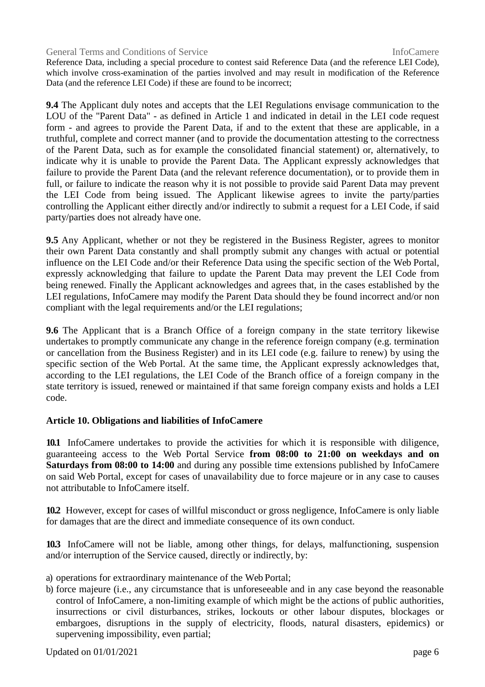Reference Data, including a special procedure to contest said Reference Data (and the reference LEI Code), which involve cross-examination of the parties involved and may result in modification of the Reference Data (and the reference LEI Code) if these are found to be incorrect;

**9.4** The Applicant duly notes and accepts that the LEI Regulations envisage communication to the LOU of the "Parent Data" - as defined in Article 1 and indicated in detail in the LEI code request form - and agrees to provide the Parent Data, if and to the extent that these are applicable, in a truthful, complete and correct manner (and to provide the documentation attesting to the correctness of the Parent Data, such as for example the consolidated financial statement) or, alternatively, to indicate why it is unable to provide the Parent Data. The Applicant expressly acknowledges that failure to provide the Parent Data (and the relevant reference documentation), or to provide them in full, or failure to indicate the reason why it is not possible to provide said Parent Data may prevent the LEI Code from being issued. The Applicant likewise agrees to invite the party/parties controlling the Applicant either directly and/or indirectly to submit a request for a LEI Code, if said party/parties does not already have one.

**9.5** Any Applicant, whether or not they be registered in the Business Register, agrees to monitor their own Parent Data constantly and shall promptly submit any changes with actual or potential influence on the LEI Code and/or their Reference Data using the specific section of the Web Portal, expressly acknowledging that failure to update the Parent Data may prevent the LEI Code from being renewed. Finally the Applicant acknowledges and agrees that, in the cases established by the LEI regulations, InfoCamere may modify the Parent Data should they be found incorrect and/or non compliant with the legal requirements and/or the LEI regulations;

**9.6** The Applicant that is a Branch Office of a foreign company in the state territory likewise undertakes to promptly communicate any change in the reference foreign company (e.g. termination or cancellation from the Business Register) and in its LEI code (e.g. failure to renew) by using the specific section of the Web Portal. At the same time, the Applicant expressly acknowledges that, according to the LEI regulations, the LEI Code of the Branch office of a foreign company in the state territory is issued, renewed or maintained if that same foreign company exists and holds a LEI code.

# **Article 10. Obligations and liabilities of InfoCamere**

**10.1** InfoCamere undertakes to provide the activities for which it is responsible with diligence, guaranteeing access to the Web Portal Service **from 08:00 to 21:00 on weekdays and on Saturdays from 08:00 to 14:00** and during any possible time extensions published by InfoCamere on said Web Portal, except for cases of unavailability due to force majeure or in any case to causes not attributable to InfoCamere itself.

**10.2** However, except for cases of willful misconduct or gross negligence, InfoCamere is only liable for damages that are the direct and immediate consequence of its own conduct.

**10.3** InfoCamere will not be liable, among other things, for delays, malfunctioning, suspension and/or interruption of the Service caused, directly or indirectly, by:

- a) operations for extraordinary maintenance of the Web Portal;
- b) force majeure (i.e., any circumstance that is unforeseeable and in any case beyond the reasonable control of InfoCamere, a non-limiting example of which might be the actions of public authorities, insurrections or civil disturbances, strikes, lockouts or other labour disputes, blockages or embargoes, disruptions in the supply of electricity, floods, natural disasters, epidemics) or supervening impossibility, even partial;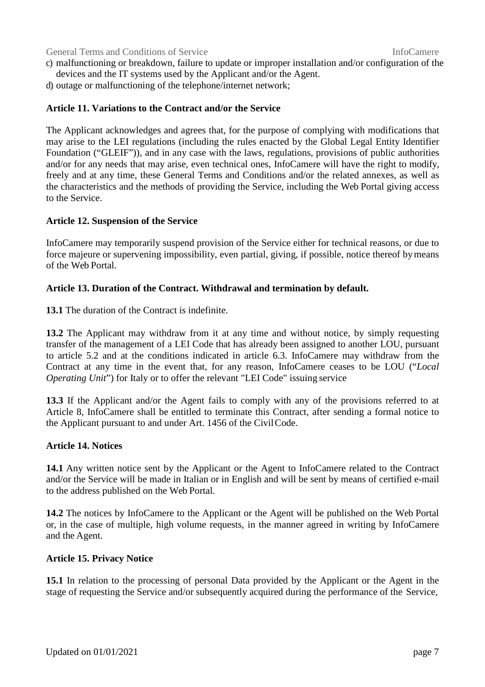- c) malfunctioning or breakdown, failure to update or improper installation and/or configuration of the devices and the IT systems used by the Applicant and/or the Agent.
- d) outage or malfunctioning of the telephone/internet network;

# **Article 11. Variations to the Contract and/or the Service**

The Applicant acknowledges and agrees that, for the purpose of complying with modifications that may arise to the LEI regulations (including the rules enacted by the Global Legal Entity Identifier Foundation ("GLEIF")), and in any case with the laws, regulations, provisions of public authorities and/or for any needs that may arise, even technical ones, InfoCamere will have the right to modify, freely and at any time, these General Terms and Conditions and/or the related annexes, as well as the characteristics and the methods of providing the Service, including the Web Portal giving access to the Service.

### **Article 12. Suspension of the Service**

InfoCamere may temporarily suspend provision of the Service either for technical reasons, or due to force majeure or supervening impossibility, even partial, giving, if possible, notice thereof by means of the Web Portal.

### **Article 13. Duration of the Contract. Withdrawal and termination by default.**

**13.1** The duration of the Contract is indefinite.

**13.2** The Applicant may withdraw from it at any time and without notice, by simply requesting transfer of the management of a LEI Code that has already been assigned to another LOU, pursuant to article 5.2 and at the conditions indicated in article 6.3. InfoCamere may withdraw from the Contract at any time in the event that, for any reason, InfoCamere ceases to be LOU ("*Local Operating Unit*") for Italy or to offer the relevant "LEI Code" issuing service

**13.3** If the Applicant and/or the Agent fails to comply with any of the provisions referred to at Article 8, InfoCamere shall be entitled to terminate this Contract, after sending a formal notice to the Applicant pursuant to and under Art. 1456 of the Civil Code.

### **Article 14. Notices**

**14.1** Any written notice sent by the Applicant or the Agent to InfoCamere related to the Contract and/or the Service will be made in Italian or in English and will be sent by means of certified e-mail to the address published on the Web Portal.

**14.2** The notices by InfoCamere to the Applicant or the Agent will be published on the Web Portal or, in the case of multiple, high volume requests, in the manner agreed in writing by InfoCamere and the Agent.

### **Article 15. Privacy Notice**

**15.1** In relation to the processing of personal Data provided by the Applicant or the Agent in the stage of requesting the Service and/or subsequently acquired during the performance of the Service,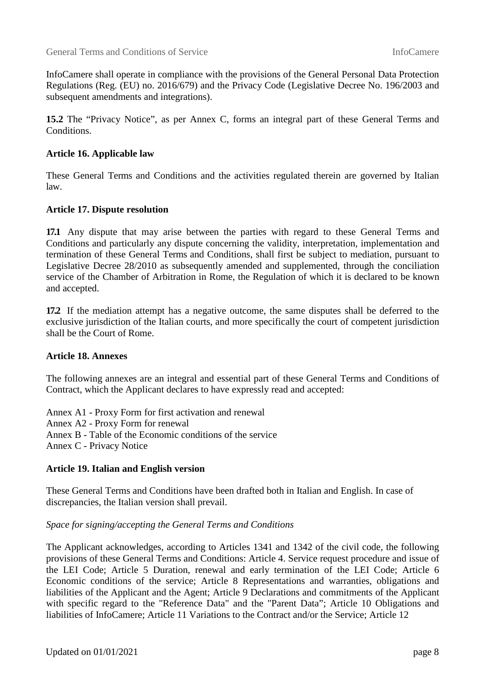InfoCamere shall operate in compliance with the provisions of the General Personal Data Protection Regulations (Reg. (EU) no. 2016/679) and the Privacy Code (Legislative Decree No. 196/2003 and subsequent amendments and integrations).

**15.2** The "Privacy Notice", as per Annex C, forms an integral part of these General Terms and Conditions.

# **Article 16. Applicable law**

These General Terms and Conditions and the activities regulated therein are governed by Italian law.

## **Article 17. Dispute resolution**

**17.1** Any dispute that may arise between the parties with regard to these General Terms and Conditions and particularly any dispute concerning the validity, interpretation, implementation and termination of these General Terms and Conditions, shall first be subject to mediation, pursuant to Legislative Decree 28/2010 as subsequently amended and supplemented, through the conciliation service of the Chamber of Arbitration in Rome, the Regulation of which it is declared to be known and accepted.

**17.2** If the mediation attempt has a negative outcome, the same disputes shall be deferred to the exclusive jurisdiction of the Italian courts, and more specifically the court of competent jurisdiction shall be the Court of Rome.

### **Article 18. Annexes**

The following annexes are an integral and essential part of these General Terms and Conditions of Contract, which the Applicant declares to have expressly read and accepted:

Annex A1 - Proxy Form for first activation and renewal Annex A2 - Proxy Form for renewal Annex B - Table of the Economic conditions of the service Annex C - Privacy Notice

### **Article 19. Italian and English version**

These General Terms and Conditions have been drafted both in Italian and English. In case of discrepancies, the Italian version shall prevail.

*Space for signing/accepting the General Terms and Conditions* 

The Applicant acknowledges, according to Articles 1341 and 1342 of the civil code, the following provisions of these General Terms and Conditions: Article 4. Service request procedure and issue of the LEI Code; Article 5 Duration, renewal and early termination of the LEI Code; Article 6 Economic conditions of the service; Article 8 Representations and warranties, obligations and liabilities of the Applicant and the Agent; Article 9 Declarations and commitments of the Applicant with specific regard to the "Reference Data" and the "Parent Data"; Article 10 Obligations and liabilities of InfoCamere; Article 11 Variations to the Contract and/or the Service; Article 12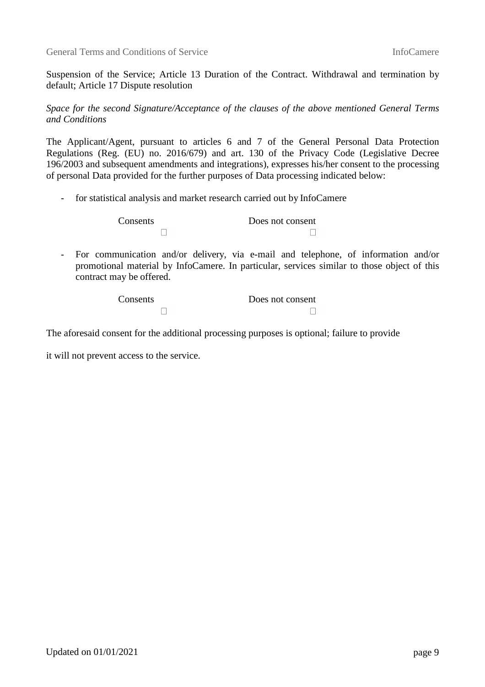Suspension of the Service; Article 13 Duration of the Contract. Withdrawal and termination by default; Article 17 Dispute resolution

*Space for the second Signature/Acceptance of the clauses of the above mentioned General Terms and Conditions* 

The Applicant/Agent, pursuant to articles 6 and 7 of the General Personal Data Protection Regulations (Reg. (EU) no. 2016/679) and art. 130 of the Privacy Code (Legislative Decree 196/2003 and subsequent amendments and integrations), expresses his/her consent to the processing of personal Data provided for the further purposes of Data processing indicated below:

- for statistical analysis and market research carried out by InfoCamere

Consents Does not consent  $\Box$  $\Box$ 

- For communication and/or delivery, via e-mail and telephone, of information and/or promotional material by InfoCamere. In particular, services similar to those object of this contract may be offered.

| Consents | Does not consent |
|----------|------------------|
|          |                  |

The aforesaid consent for the additional processing purposes is optional; failure to provide

it will not prevent access to the service.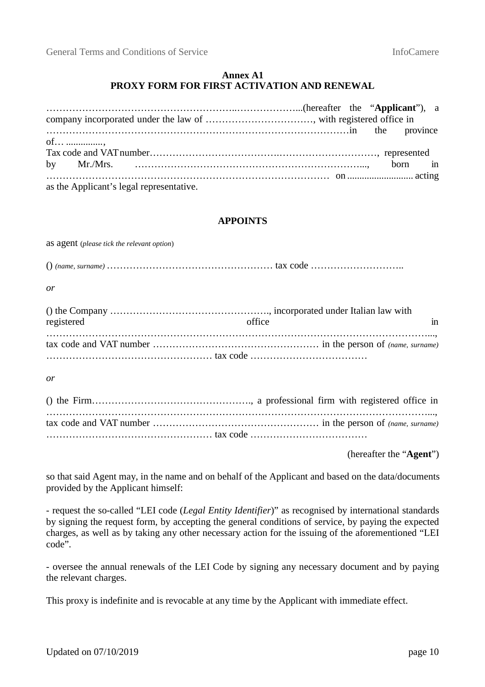### **Annex A1 PROXY FORM FOR FIRST ACTIVATION AND RENEWAL**

| of                                       |  |  |  |
|------------------------------------------|--|--|--|
|                                          |  |  |  |
|                                          |  |  |  |
|                                          |  |  |  |
| as the Applicant's legal representative. |  |  |  |

## **APPOINTS**

as agent (*please tick the relevant option*) () *(name, surname)* …………………………………………… tax code ……………………….. *or*  () the Company …………………………………………., incorporated under Italian law with registered in the office that in the office that in the set of  $\mathbf{r}$  in the set of  $\mathbf{r}$  in ………………………………………………………………………………………………………..., tax code and VAT number …………………………………………… in the person of *(name, surname)*  …………………………………………… tax code ……………………………… *or*  () the Firm…………………………………………., a professional firm with registered office in ………………………………………………………………………………………………………..., tax code and VAT number …………………………………………… in the person of *(name, surname)*  …………………………………………… tax code ………………………………

(hereafter the "**Agent**")

so that said Agent may, in the name and on behalf of the Applicant and based on the data/documents provided by the Applicant himself:

- request the so-called "LEI code (*Legal Entity Identifier*)" as recognised by international standards by signing the request form, by accepting the general conditions of service, by paying the expected charges, as well as by taking any other necessary action for the issuing of the aforementioned "LEI code".

- oversee the annual renewals of the LEI Code by signing any necessary document and by paying the relevant charges.

This proxy is indefinite and is revocable at any time by the Applicant with immediate effect.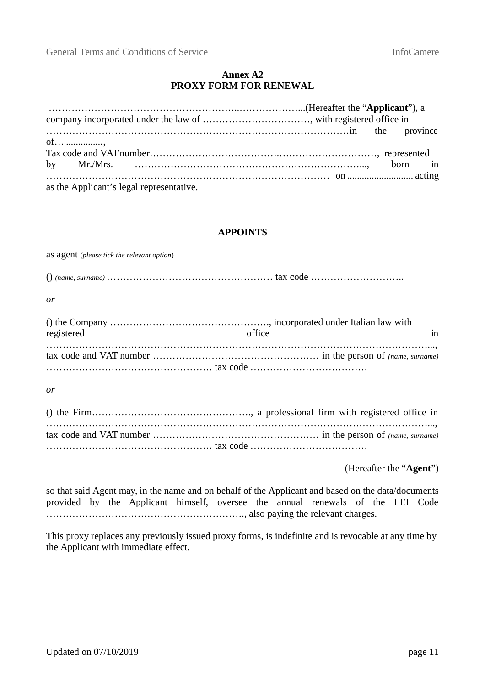# **Annex A2 PROXY FORM FOR RENEWAL**

| of ,                                     |  |  |
|------------------------------------------|--|--|
|                                          |  |  |
|                                          |  |  |
|                                          |  |  |
| as the Applicant's legal representative. |  |  |

### **APPOINTS**

as agent (*please tick the relevant option*) () *(name, surname)* …………………………………………… tax code ……………………….. *or*  () the Company …………………………………………., incorporated under Italian law with registered in the office that in the office that in  $\int$ ………………………………………………………………………………………………………..., tax code and VAT number …………………………………………… in the person of *(name, surname)*  …………………………………………… tax code ……………………………… *or* 

() the Firm…………………………………………., a professional firm with registered office in ………………………………………………………………………………………………………..., tax code and VAT number …………………………………………… in the person of *(name, surname)*  …………………………………………… tax code ………………………………

(Hereafter the "**Agent**")

so that said Agent may, in the name and on behalf of the Applicant and based on the data/documents provided by the Applicant himself, oversee the annual renewals of the LEI Code ……………………………………………………., also paying the relevant charges.

This proxy replaces any previously issued proxy forms, is indefinite and is revocable at any time by the Applicant with immediate effect.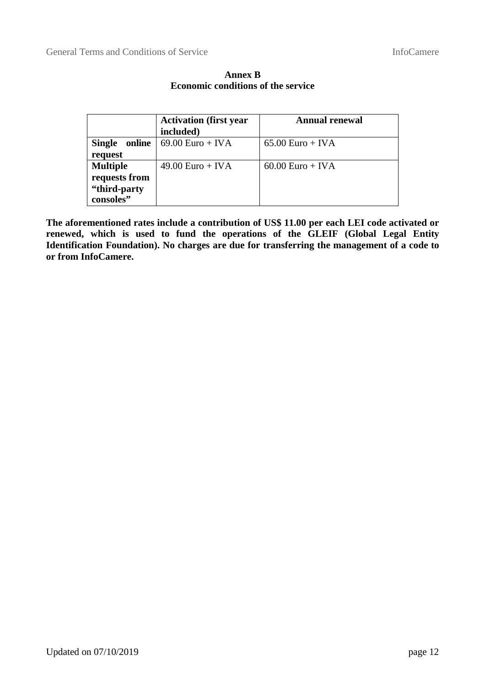|                                            | <b>Activation (first year)</b><br>included) | <b>Annual renewal</b> |
|--------------------------------------------|---------------------------------------------|-----------------------|
| online<br><b>Single</b><br>request         | $69.00$ Euro + IVA                          | $65.00$ Euro + IVA    |
| <b>Multiple</b>                            | $49.00$ Euro + IVA                          | $60.00$ Euro + IVA    |
| requests from<br>"third-party<br>consoles" |                                             |                       |

**Annex B Economic conditions of the service** 

**The aforementioned rates include a contribution of US\$ 11.00 per each LEI code activated or renewed, which is used to fund the operations of the GLEIF (Global Legal Entity Identification Foundation). No charges are due for transferring the management of a code to or from InfoCamere.**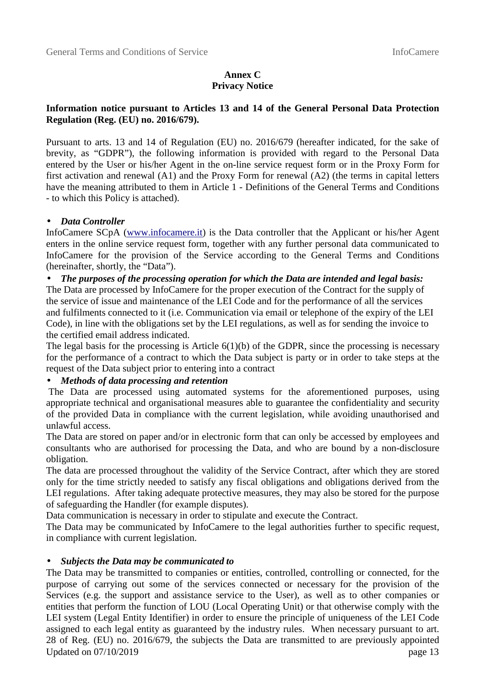# **Annex C Privacy Notice**

# **Information notice pursuant to Articles 13 and 14 of the General Personal Data Protection Regulation (Reg. (EU) no. 2016/679).**

Pursuant to arts. 13 and 14 of Regulation (EU) no. 2016/679 (hereafter indicated, for the sake of brevity, as "GDPR"), the following information is provided with regard to the Personal Data entered by the User or his/her Agent in the on-line service request form or in the Proxy Form for first activation and renewal (A1) and the Proxy Form for renewal (A2) (the terms in capital letters have the meaning attributed to them in Article 1 - Definitions of the General Terms and Conditions - to which this Policy is attached).

## • *Data Controller*

InfoCamere SCpA (www.infocamere.it) is the Data controller that the Applicant or his/her Agent enters in the online service request form, together with any further personal data communicated to InfoCamere for the provision of the Service according to the General Terms and Conditions (hereinafter, shortly, the "Data").

## • *The purposes of the processing operation for which the Data are intended and legal basis:*

The Data are processed by InfoCamere for the proper execution of the Contract for the supply of the service of issue and maintenance of the LEI Code and for the performance of all the services and fulfilments connected to it (i.e. Communication via email or telephone of the expiry of the LEI Code), in line with the obligations set by the LEI regulations, as well as for sending the invoice to the certified email address indicated.

The legal basis for the processing is Article  $6(1)(b)$  of the GDPR, since the processing is necessary for the performance of a contract to which the Data subject is party or in order to take steps at the request of the Data subject prior to entering into a contract

## • *Methods of data processing and retention*

 The Data are processed using automated systems for the aforementioned purposes, using appropriate technical and organisational measures able to guarantee the confidentiality and security of the provided Data in compliance with the current legislation, while avoiding unauthorised and unlawful access.

The Data are stored on paper and/or in electronic form that can only be accessed by employees and consultants who are authorised for processing the Data, and who are bound by a non-disclosure obligation.

The data are processed throughout the validity of the Service Contract, after which they are stored only for the time strictly needed to satisfy any fiscal obligations and obligations derived from the LEI regulations. After taking adequate protective measures, they may also be stored for the purpose of safeguarding the Handler (for example disputes).

Data communication is necessary in order to stipulate and execute the Contract.

The Data may be communicated by InfoCamere to the legal authorities further to specific request, in compliance with current legislation.

### • *Subjects the Data may be communicated to*

Updated on  $07/10/2019$  page 13 The Data may be transmitted to companies or entities, controlled, controlling or connected, for the purpose of carrying out some of the services connected or necessary for the provision of the Services (e.g. the support and assistance service to the User), as well as to other companies or entities that perform the function of LOU (Local Operating Unit) or that otherwise comply with the LEI system (Legal Entity Identifier) in order to ensure the principle of uniqueness of the LEI Code assigned to each legal entity as guaranteed by the industry rules. When necessary pursuant to art. 28 of Reg. (EU) no. 2016/679, the subjects the Data are transmitted to are previously appointed